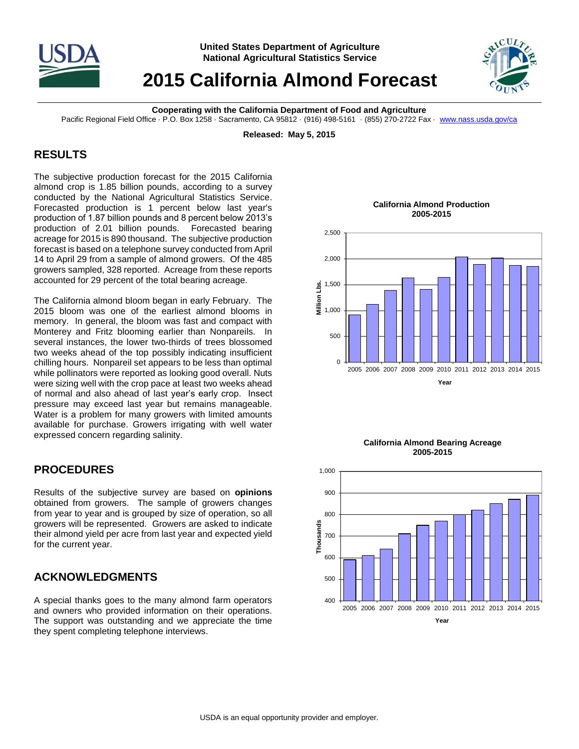

**United States Department of Agriculture National Agricultural Statistics Service**

# **2015 California Almond Forecast**



**Cooperating with the California Department of Food and Agriculture**

Pacific Regional Field Office · P.O. Box 1258 · Sacramento, CA 95812 · (916) 498-5161 · (855) 270-2722 Fax · [www.nass.usda.gov/ca](http://www.nass.usda.gov/ca)

**Released: May 5, 2015**

### **RESULTS**

The subjective production forecast for the 2015 California almond crop is 1.85 billion pounds, according to a survey conducted by the National Agricultural Statistics Service. Forecasted production is 1 percent below last year's production of 1.87 billion pounds and 8 percent below 2013's production of 2.01 billion pounds. Forecasted bearing acreage for 2015 is 890 thousand. The subjective production forecast is based on a telephone survey conducted from April 14 to April 29 from a sample of almond growers. Of the 485 growers sampled, 328 reported. Acreage from these reports accounted for 29 percent of the total bearing acreage.

The California almond bloom began in early February. The 2015 bloom was one of the earliest almond blooms in memory. In general, the bloom was fast and compact with Monterey and Fritz blooming earlier than Nonpareils. In several instances, the lower two-thirds of trees blossomed two weeks ahead of the top possibly indicating insufficient chilling hours. Nonpareil set appears to be less than optimal while pollinators were reported as looking good overall. Nuts were sizing well with the crop pace at least two weeks ahead of normal and also ahead of last year's early crop. Insect pressure may exceed last year but remains manageable. Water is a problem for many growers with limited amounts available for purchase. Growers irrigating with well water expressed concern regarding salinity.

#### **PROCEDURES**

Results of the subjective survey are based on **opinions** obtained from growers. The sample of growers changes from year to year and is grouped by size of operation, so all growers will be represented. Growers are asked to indicate their almond yield per acre from last year and expected yield for the current year.

## **ACKNOWLEDGMENTS**

A special thanks goes to the many almond farm operators and owners who provided information on their operations. The support was outstanding and we appreciate the time they spent completing telephone interviews.





**2005-2015**



#### **California Almond Production 2005-2015**